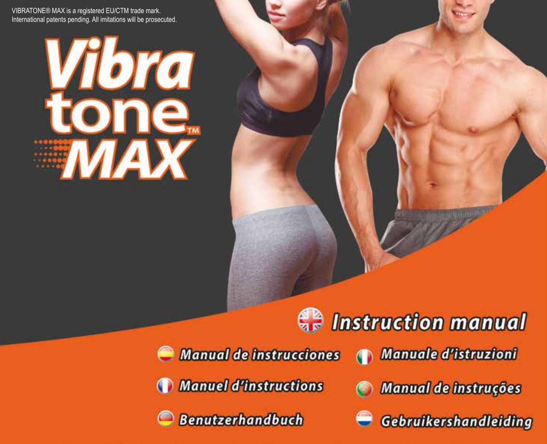VIBRATONE® MAX is a registered EU/CTM trade mark. International patents pending. All imitations will be prosecuted.

# Vibra le.

# **Manual de instrucciones Manuel d'instructions Benutzerhandbuch**

Manuale d'istruzioni

**Contraction manual** 

- Manual de instruções
- Gebruikershandleiding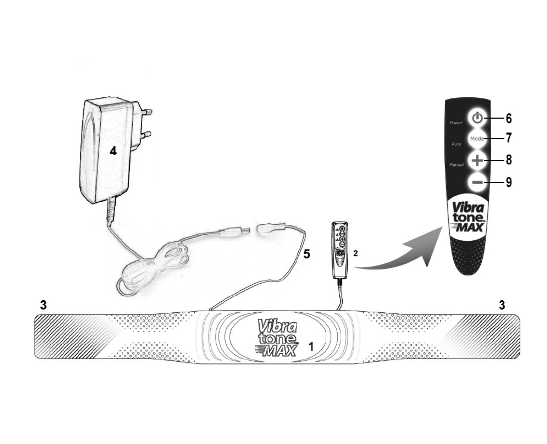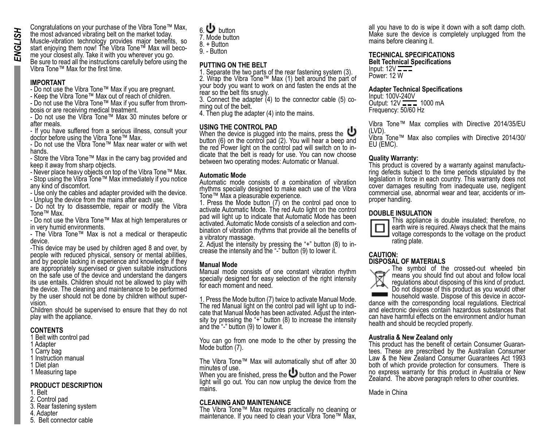Congratulations on your purchase of the Vibra Tone™ Max, the most advanced vibrating belt on the market today. Muscle-vibration technology provides major benefits, so start enjoying them now! The Vibra Tone™ Max will beco-<br>me your closest ally. Take it with you wherever you go. Be sure to read all the instructions carefully before using the Vibra Tone™ Max for the first time.

### **IMPORTANT**

- Do not use the Vibra Tone™ Max if you are pregnant.
- Keep the Vibra Tone™ Max out of reach of children.

- Do not use the Vibra Tone™ Max if you suffer from throm- bosis or are receiving medical treatment.

- Do not use the Vibra Tone™ Max 30 minutes before or after meals.

- If you have suffered from a serious illness, consult your doctor before using the Vibra Tone™ Max.

- Do not use the Vibra Tone™ Max near water or with wet hands.

- Store the Vibra Tone™ Max in the carry bag provided and keep it away from sharp objects.

- Never place heavy objects on top of the Vibra Tone™ Max.

- Stop using the Vibra Tone™ Max immediately if you notice any kind of discomfort.

- Use only the cables and adapter provided with the device.

- Unplug the device from the mains after each use.

- Do not try to disassemble, repair or modify the Vibra Tone™ Max.

- Do not use the Vibra Tone™ Max at high temperatures or in very humid environments.

- The Vibra Tone™ Max is not a medical or therapeutic device.

-This device may be used by children aged 8 and over, by people with reduced physical, sensory or mental abilities. and by people lacking in experience and knowledge if they are appropriately supervised or given suitable instructions on the safe use of the device and understand the dangers its use entails. Children should not be allowed to play with the device. The cleaning and maintenance to be performed by the user should not be done by children without super- vision.

Children should be supervised to ensure that they do not play with the appliance.

### **CONTENTS**

- 1 Belt with control pad
- 1 Adapter
- 1 Carry bag
- 1 Instruction manual
- 1 Diet plan
- 1 Measuring tape

### **PRODUCT DESCRIPTION**

- 1. Belt
- 2. Control pad
- 3. Rear fastening system
- 4. Adapter
- 5. Belt connector cable
- 6. button
- 7. Mode button
- $8 +$  Button
- 9. Button

### **PUTTING ON THE BELT**

1. Separate the two parts of the rear fastening system (3). 2. Wrap the Vibra Tone™ Max (1) belt around the part of your body you want to work on and fasten the ends at the rear so the belt fits snugly.

3. Connect the adapter (4) to the connector cable (5) co- ming out of the belt.

4. Then plug the adapter (4) into the mains.

### **USING THE CONTROL PAD**

When the device is plugged into the mains, press the button (6) on the control pad (2). You will hear a beep and the red Power light on the control pad will switch on to indicate that the belt is ready for use. You can now choose between two operating modes: Automatic or Manual.

### **Automatic Mode**

Automatic mode consists of a combination of vibration rhythms specially designed to make each use of the Vibra Tone™ Max a pleasurable experience.

1. Press the Mode button (7) on the control pad once to activate Automatic Mode. The red Auto light on the control pad will light up to indicate that Automatic Mode has been bination of vibration rhythms that provide all the benefits of

a vibratory massage.<br>2. Adjust the intensity by pressing the "+" button (8) to increase the intensity and the "-" button (9) to lower it.

### **Manual Mode**

Manual mode consists of one constant vibration rhythm specially designed for easy selection of the right intensity for each moment and need.

1. Press the Mode button (7) twice to activate Manual Mode. cate that Manual Mode has been activated. Adjust the intensity by pressing the "+" button (8) to increase the intensity and the "-" button (9) to lower it.

You can go from one mode to the other by pressing the Mode button (7).

The Vibra Tone™ Max will automatically shut off after 30 minutes of use.

When you are finished, press the  $\mathbf U$  button and the Power light will go out. You can now unplug the device from the mains.

### **CLEANING AND MAINTENANCE**

The Vibra Tone™ Max requires practically no cleaning or maintenance. If you need to clean your Vibra Tone™ Max, all you have to do is wipe it down with a soft damp cloth. Make sure the device is completely unplugged from the mains before cleaning it.

### **TECHNICAL SPECIFICATIONS**

**Belt Technical Specifications**  Input: 12V

Power: 12 W

### **Adapter Technical Specifications**

Input: 100V-240V Output: 12V 1000 mA Frequency: 50/60 Hz

Vibra Tone™ Max complies with Directive 2014/35/EU (LVD).

Vibra Tone™ Max also complies with Directive 2014/30/ EU (EMC).

**Quality Warranty:**<br>This product is covered by a warranty against manufacturing defects subject to the time periods stipulated by the legislation in force in each country. This warranty does not cover damages resulting from inadequate use, negligent commercial use, abnormal wear and tear, accidents or im-<br>proper handling.

### **DOUBLE INSULATION**



This appliance is double insulated; therefore, no earth wire is required. Always check that the mains voltage corresponds to the voltage on the product rating plate.

### **CAUTION: DISPOSAL OF MATERIALS**



The symbol of the crossed-out wheeled bin means you should find out about and follow local regulations about disposing of this kind of product. Do not dispose of this product as you would other<br>household waste. Dispose of this device in accor-

dance with the corresponding local regulations. Electrical and electronic devices contain hazardous substances that can have harmful effects on the environment and/or human health and should be recycled properly.

**Australia & New Zealand only** tees. These are prescribed by the Australian Consumer Law & the New Zealand Consumer Guarantees Act 1993 both of which provide protection for consumers. There is no express warranty for this product in Australia or New Zealand. The above paragraph refers to other countries.

Made in China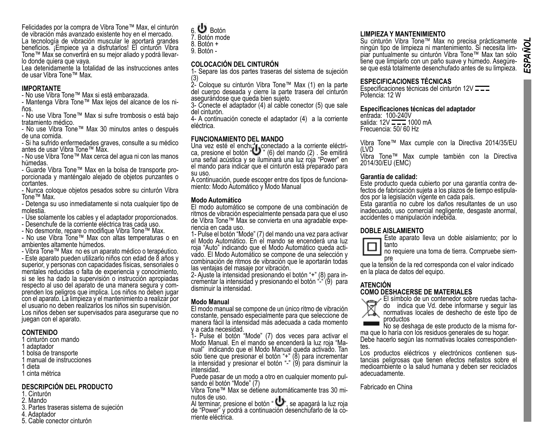Felicidades por la compra de Vibra Tone™ Max, el cinturón de vibración más avanzado existente hoy en el mercado. La tecnología de vibración muscular le aportará grandes beneficios. ¡Empiece ya a disfrutarlos! El cinturón Vibra

Tone™ Max se convertirá en su mejor aliado y podrá llevar-<br>lo donde quiera que vaya.<br>Lea detenidamente la totalidad de las instrucciones antes

de usar Vibra Tone™ Max.

# **IMPORTANTE**

- No use Vibra Tone™ Max si está embarazada.

- Mantenga Vibra Tone™ Max lejos del alcance de los ni- ños.

- No use Vibra Tone™ Max si sufre trombosis o está bajo tratamiento médico.

- No use Vibra Tone™ Max 30 minutos antes o después de una comida.

- Si ha sufrido enfermedades graves, consulte a su médico antes de usar Vibra Tone™ Max.

- No use Vibra Tone™ Max cerca del agua ni con las manos húmedas.<br>- Guarde Vibra Tone™ Max en la bolsa de transporte pro-

porcionada y manténgalo alejado de objetos punzantes o cortantes.

- Nunca coloque objetos pesados sobre su cinturón Vibra Tone™ Max.

- Detenga su uso inmediatamente si nota cualquier tipo de molestia.

- Use solamente los cables y el adaptador proporcionados.

- Desenchufe de la corriente eléctrica tras cada uso.

- No desmonte, repare o modifique Vibra Tone™ Max.

- No use Vibra Tone™ Max con altas temperaturas o en ambientes altamente húmedos.

- Vibra Tone™ Max no es un aparato médico o terapéutico. - Este aparato pueden utilizarlo niños con edad de 8 años y superior, y personas con capacidades físicas, sensoriales o mentales reducidas o falta de experiencia y conocimiento, si se les ha dado la supervisión o instrucción apropiadas respecto al uso del aparato de una manera segura y comprenden los peligros que implica. Los niños no deben jugar con el aparato. La limpieza y el mantenimiento a realizar por el usuario no deben realizarlos los niños sin supervisión. Los niños deben ser supervisados para asegurarse que no juegan con el aparato.

### **CONTENIDO**

- 1 cinturón con mando
- adantador
- 1 bolsa de transporte
- 1 manual de instrucciones 1 dieta
- 

# 1 cinta métrica

### **DESCRIPCIÓN DEL PRODUCTO**

- 1. Cinturón
- 2. Mando
- 3. Partes traseras sistema de sujeción
- 4. Adaptador
- 5. Cable conector cinturón

| 6. $\mathbf{\mathbf{U}}$ Botón |
|--------------------------------|
| 7. Botón mode                  |
| 8. Botón +                     |

8. Botón + 9. Botón -

### **COLOCACIÓN DEL CINTURÓN**

1- Separe las dos partes traseras del sistema de sujeción

(3) 2- Coloque su cinturón Vibra Tone™ Max (1) en la parte del cuerpo deseada y cierre la parte trasera del cinturón asegurándose que queda bien sujeto.

3- Conecte el adaptador (4) al cable conector (5) que sale del cinturón.

4- A continuación conecte el adaptador (4) a la corriente eléctrica.

# **FUNCIONAMIENTO DEL MANDO**

Una vez esté el enchufe conectado a la corriente eléctri-<br>ca, presione el botón " " (6) del mando (2) . Se emitirá una señal acústica y se iluminará una luz roja "Power" en el mando para indicar que el cinturón está preparado para su uso.

A continuación, puede escoger entre dos tipos de funciona- miento: Modo Automático y Modo Manual

### **Modo Automático**

El modo automático se compone de una combinación de ritmos de vibración especialmente pensada para que el uso de Vibra Tone™ Max se convierta en una agradable expe- riencia en cada uso.

1- Pulse el botón "Mode" (7) del mando una vez para activar el Modo Automático. En el mando se encenderá una luz<br>roja "Auto" indicando que el Modo Automático queda activado. El Modo Automático se compone de una selección y combinación de ritmos de vibración que le aportarán todas

las ventajas del masaje por vibración.<br>2- Aiuste la intensidad presionando el botón "+" (8) para incrementar la intensidad y presionando el botón "-" (9) para disminuir la intensidad.

### **Modo Manual**

El modo manual se compone de un único ritmo de vibración constante, pensado especialmente para que seleccione de manera fácil la intensidad más adecuada a cada momento y a cada necesidad.

1- Pulse el botón "Mode" (7) dos veces para activar el nual" indicando que el Modo Manual queda activado. Tan sólo tiene que presionar el botón "+" (8) para incrementar la intensidad y presionar el botón "-" (9) para disminuir la intensidad.

Puede pasar de un modo a otro en cualquier momento pul- sando el botón "Mode" (7)

Vibra Tone™ Max se detiene automáticamente tras 30 minutos de uso.<br>Al terminar, presione el botón " ∪", se apagará la luz roja

de "Power" y podrá a continuación desenchufarlo de la co-

# **LIMPIEZA Y MANTENIMIENTO**

Su cinturón Vibra Tone™ Max no precisa prácticamente<br>ningún tipo de limpieza ni mantenimiento. Si necesita limpiar puntualmente su cinturón Vibra Tone™ Max tan sólo<br>tiene que limpiarlo con un paño suave y húmedo. Aseqúrese que está totalmente desenchufado antes de su limpieza.

### **ESPECIFICACIONES TÉCNICAS**

Especificaciones técnicas del cinturón 12V Potencia: 12 W

### **Especificaciones técnicas del adaptador**

entrada: 100-240V salida: 12V 1000 mA Frecuencia: 50/ 60 Hz

Vibra Tone™ Max cumple con la Directiva 2014/35/EU (LVD

Vibra Tone™ Max cumple también con la Directiva 2014/30/EU (EMC)

### **Garantía de calidad:**

Este producto queda cubierto por una garantía contra de-<br>fectos de fabricación sujeta a los plazos de tiempo estipula-<br>dos por la legislación vigente en cada país.

Esta garantía no cubre los daños resultantes de un uso inadecuado, uso comercial negligente, desgaste anormal, accidentes o manipulación indebida.

### **DOBLE AISLAMIENTO**





no requiere una toma de tierra. Compruebe siem- pre que la tensión de la red corresponda con el valor indicado

en la placa de datos del equipo.

**ATENCIÓN**<br> **COMO DESHACERSE DE MATERIALES**<br>
El símbolo de un contenedor sobre ruedas tacha-<br>
do indica que Vd. debe informarse y seguir las<br>
normativas locales de deshecho de este tipo de productos<br>No se deshaga de este producto de la misma for-

ma que lo haría con los residuos generales de su hogar.

Debe hacerlo según las normativas locales correspondien-<br>tes.<br>Los productos eléctricos y electrónicos contienen sus-

tancias peligrosas que tienen efectos nefastos sobre el medioambiente o la salud humana y deben ser reciclados adecuadamente.

Fabricado en China

**E**SPAÑO

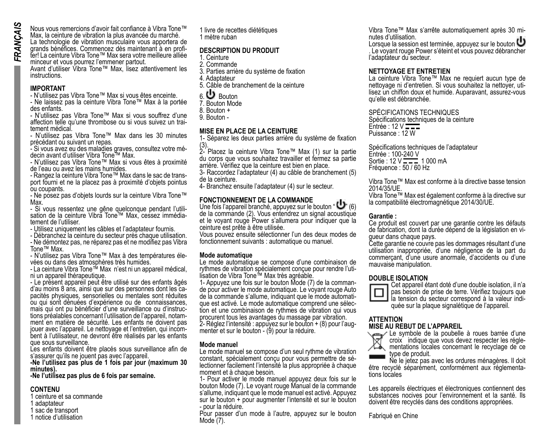Nous vous remercions d'avoir fait confiance à Vibra Tone™ Max, la ceinture de vibration la plus avancée du marché. La technologie de vibration musculaire vous apportera de grands bénéfices. Commencez dès maintenant à en profiter! La ceinture Vibra Tone™ Max sera votre meilleure alliée minceur et vous pourrez l'emmener partout. Avant d'utiliser Vibra Tone™ Max, lisez attentivement les

instructions.

### **IMPORTANT**

- N'utilisez pas Vibra Tone™ Max si vous êtes enceinte.

- Ne laissez pas la ceinture Vibra Tone™ Max à la portée des enfants.

- N'utilisez pas Vibra Tone™ Max si vous souffrez d'une affection telle qu'une thrombose ou si vous suivez un trai- tement médical.

- N'utilisez pas Vibra Tone™ Max dans les 30 minutes précédant ou suivant un repas.

- Si vous avez eu des maladies graves, consultez votre mé- decin avant d'utiliser Vibra Tone™ Max.

- N'utilisez pas Vibra Tone™ Max si vous êtes à proximité de l'eau ou avez les mains humides.<br>- Rangez la ceinture Vibra Tone™ Max dans le sac de trans-

port fourni et ne la placez pas à proximité d'objets pointus ou coupants.

- Ne posez pas d'objets lourds sur la ceinture Vibra Tone™ Max.<br>- Si vous ressentez une gêne quelconque pendant l'utili-

sation de la ceinture Vibra Tone™ Max, cessez immédia-<br>tement de l'utiliser.

- Utilisez uniquement les câbles et l'adaptateur fournis.

- Débranchez la ceinture du secteur près chaque utilisation.

- Ne démontez pas, ne réparez pas et ne modifiez pas Vibra Tone™ Max.

- N'utilisez pas Vibra Tone™ Max à des températures éle- vées ou dans des atmosphères très humides.

- La ceinture Vibra Tone™ Max n'est ni un appareil médical, ni un appareil thérapeutique.

- Le présent appareil peut être utilisé sur des enfants âgés pacités physiques, sensorielles ou mentales sont réduites ou qui sont dénuées d'expérience ou de connaissances, tions préalables concernant l'utilisation de l'appareil, notam-<br>ment en matière de sécurité. Les enfants ne doivent pas jouer avec l'appareil. Le nettoyage et l'entretien, qui incom- bent à l'utilisateur, ne devront être réalisés par les enfants que sous surveillance.

Les enfants doivent être placés sous surveillance afin de s'assurer qu'ils ne jouent pas avec l'appareil.

**-Ne l'utilisez pas plus de 1 fois par jour (maximum 30 minutes).**

**-Ne l'utilisez pas plus de 6 fois par semaine.**

### **CONTENU**

- 1 ceinture et sa commande
- 1 adaptateur
- 1 sac de transport
- 1 notice d'utilisation

1 livre de recettes diététiques 1 mètre ruban

### **DESCRIPTION DU PRODUIT**

- 1. Ceinture 2. Commande
- 3. Parties arrière du système de fixation
- 4. Adaptateur
- 5. Câble de branchement de la ceinture
- 6. Bouton
- 7. Bouton Mode
- 8. Bouton +
- 9. Bouton -

### **MISE EN PLACE DE LA CEINTURE**

1- Séparez les deux parties arrière du système de fixation

(3). 2- Placez la ceinture Vibra Tone™ Max (1) sur la partie du corps que vous souhaitez travailler et fermez sa partie arrière. Vérifiez que la ceinture est bien en place.

3- Raccordez l'adaptateur (4) au câble de branchement (5) de la ceinture.

4- Branchez ensuite l'adaptateur (4) sur le secteur.

### **FONCTIONNEMENT DE LA COMMANDE**

Une fois l'appareil branché, appuyez sur le bouton " (6) de la commande (2). Vous entendrez un signal acoustique et le voyant rouge Power s'allumera pour indiquer que la ceinture est prête à être utilisée.

Vous pouvez ensuite sélectionner l'un des deux modes de fonctionnement suivants : automatique ou manuel.

### **Mode automatique**

Le mode automatique se compose d'une combinaison de rythmes de vibration spécialement conçue pour rendre l'uti-<br>lisation de Vibra Tone™ Max très agréable.<br>1- Appuvez une fois sur le bouton Mode (7) de la comman-

1- de pour activer le mode automatique. Le voyant rouge Auto<br>de la commande s'allume, indiquant que le mode automatique est activé. Le mode automatique comprend une sélection et une combinaison de rythmes de vibration qui vous procurent tous les avantages du massage par vibration. 2- Réglez l'intensité : appuyez sur le bouton + (8) pour l'aug- menter et sur le bouton - (9) pour la réduire.

### **Mode manuel**

Le mode manuel se compose d'un seul rythme de vibration constant, spécialement concu pour vous permettre de sélectionner facilement l'intensité la plus appropriée à chaque moment et à chaque besoin.

1- Pour activer le mode manuel appuyez deux fois sur le bouton Mode (7). Le voyant rouge Manual de la commande s'allume, indiquant que le mode manuel est activé. Appuyez sur le bouton + pour augmenter l'intensité et sur le bouton - pour la réduire.

Pour passer d'un mode à l'autre, appuyez sur le bouton Mode (7).

Vibra Tone™ Max s'arrête automatiquement après 30 mi- nutes d'utilisation.

Lorsque la session est terminée, appuyez sur le bouton . Le voyant rouge Power s'éteint et vous pouvez débrancher l'adaptateur du secteur.

### **NETTOYAGE ET ENTRETIEN**

La ceinture Vibra Tone™ Max ne requiert aucun type de lisez un chiffon doux et humide. Auparavant, assurez-vous qu'elle est débranchée.

### SPÉCIFICATIONS TECHNIQUES

Spécifications techniques de la ceinture  $Entree : 12 V$ Puissance : 12 W

Spécifications techniques de l'adaptateur Entrée : 100-240 V Sortie:  $12 \text{ V} = 1000 \text{ mA}$ Fréquence : 50 / 60 Hz

Vibra Tone™ Max est conforme à la directive basse tension 2014/35/UE.

Vibra Tone™ Max est également conforme à la directive sur la compatibilité électromagnétique 2014/30/UE.

### **Garantie :**

Ce produit est couvert par une garantie contre les défauts de fabrication, dont la durée dépend de la législation en vi- gueur dans chaque pays.

Cette garantie ne couvre pas les dommages résultant d'une utilisation inappropriée, d'une négligence de la part du commerçant, d'une usure anormale, d'accidents ou d'une mauvaise manipulation.

### **DOUBLE ISOLATION**



Cet appareil étant doté d'une double isolation, il n'a pas besoin de prise de terre. Vérifiez toujours que quée sur la plaque signalétique de l'appareil.

# **ATTENTION**



**MISE AU REBUT DE L'APPAREIL** Le symbole de la poubelle à roues barrée d'une mentations locales concernant le recyclage de ce type de produit.

Ne le jetez pas avec les ordures ménagères. Il doit être recyclé séparément, conformément aux réglementa- tions locales

Les appareils électriques et électroniques contiennent des substances nocives pour l'environnement et la santé. Ils doivent être recyclés dans des conditions appropriées.

Fabriqué en Chine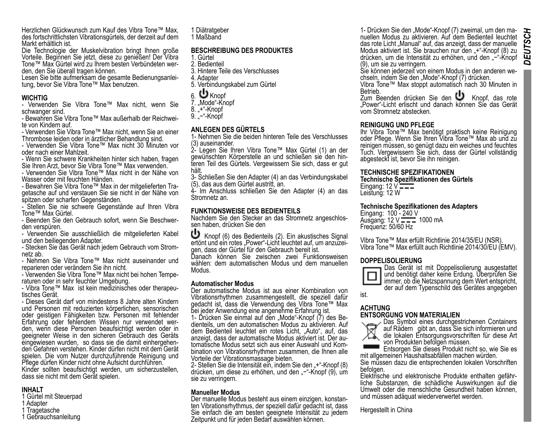Herzlichen Glückwunsch zum Kauf des Vibra Tone™ Max, des fortschrittlichsten Vibrationsgürtels, der derzeit auf dem Markt erhältlich ist.

Die Technologie der Muskelvibration bringt Ihnen große Vorteile. Beginnen Sie jetzt, diese zu genießen! Der Vibra Tone™ Max Gürtel wird zu Ihrem besten Verbündeten wer- den, den Sie überall tragen können.

Lesen Sie bitte aufmerksam die gesamte Bedienungsanlei- tung, bevor Sie Vibra Tone™ Max benutzen.

### **WICHTIG**

- Verwenden Sie Vibra Tone™ Max nicht, wenn Sie schwanger sind.

- Bewahren Sie Vibra Tone™ Max außerhalb der Reichwei- te von Kindern auf.

- Verwenden Sie Vibra Tone™ Max nicht, wenn Sie an einer Thrombose leiden oder in ärztlicher Behandlung sind.

- Verwenden Sie Vibra Tone™ Max nicht 30 Minuten vor oder nach einer Mahlzeit.

- Wenn Sie schwere Krankheiten hinter sich haben, fragen Sie Ihren Arzt, bevor Sie Vibra Tone™ Max verwenden.

- Verwenden Sie Vibra Tone™ Max nicht in der Nähe von Wasser oder mit feuchten Händen.<br>
Fewahren Sie Vibra Tone™ Max in der mitgelieferten Tra-

getasche auf und verstauen Sie sie nicht in der Nähe von spitzen oder scharfen Gegenständen.

- Stellen Sie nie schwere Gegenstände auf Ihren Vibra Tone™ Max Gürtel.

- Beenden Sie den Gebrauch sofort, wenn Sie Beschwer- den verspüren.

- Verwenden Sie ausschließlich die mitgelieferten Kabel und den beiliegenden Adapter.

- Stecken Sie das Gerät nach jedem Gebrauch vom Strom- netz ab.

- Nehmen Sie Vibra Tone™ Max nicht auseinander und reparieren oder verändern Sie ihn nicht.

- Verwenden Sie Vibra Tone™ Max nicht bei hohen Tempe- raturen oder in sehr feuchter Umgebung.

- Vibra Tone™ Max ist kein medizinisches oder therapeu- tisches Gerät.

- Dieses Gerät darf von mindestens 8 Jahre alten Kindern und Personen mit reduzierten körperlichen, sensorischen oder geistigen Fähigkeiten bzw. Personen mit fehlender<br>Erfahrung oder fehlendem Wissen nur verwendet werden, wenn diese Personen beaufsichtigt werden oder in geeigneter Weise in den sicheren Gebrauch des Geräts den Gefahren verstehen. Kinder dürfen nicht mit dem Gerät spielen. Die vom Nutzer durchzuführende Reinigung und Pflege dürfen Kinder nicht ohne Aufsicht durchführen.

Kinder sollten beaufsichtigt werden, um sicherzustellen, dass sie nicht mit dem Gerät spielen.

### **INHALT**

- 1 Gürtel mit Steuerpad
- 1 Adapter
- 1 Tragetasche
- 1 Gebrauchsanleitung

1 Diätratgeber 1 Maßband

### **BESCHREIBUNG DES PRODUKTES**

- 1. Gürtel 2. Bedienteil
- 
- 3. Hintere Teile des Verschlusses
- 4. Adapter
- 5. Verbindungskabel zum Gürtel

# 6 **U** Knopf

- 7. "Mode"-Knopf
- 8. "+"-Knopf
- 9. .<sup>...</sup> Knopf

### **ANLEGEN DES GÜRTELS**

1- Nehmen Sie die beiden hinteren Teile des Verschlusses (3) auseinander.

2- Legen Sie Ihren Vibra Tone™ Max Gürtel (1) an der teren Teil des Gürtels. Vergewissern Sie sich, dass er gut hält.

3- Schließen Sie den Adapter (4) an das Verbindungskabel (5), das aus dem Gürtel austritt, an.

4- Im Anschluss schließen Sie den Adapter (4) an das Stromnetz an.

### **FUNKTIONSWEISE DES BEDIENTEILS**

Nachdem Sie den Stecker an das Stromnetz angeschlos-<br>sen haben, drücken Sie den<br>
U Knopf (6) des Bedienteils (2). Ein akustisches Signal

ertönt und ein rotes "Power"-Licht leuchtet auf, um anzuzei-<br>gen, dass der Gürtel für den Gebrauch bereit ist.

Danach können Sie zwischen zwei Funktionsweisen wählen: dem automatischen Modus und dem manuellen Modus.

### **Automatischer Modus**

Der automatische Modus ist aus einer Kombination von Vibrationsrhythmen zusammengestellt, die speziell dafür gedacht ist, dass die Verwendung des Vibra Tone™ Max bei jeder Anwendung eine angenehme Erfahrung ist.

dienteils, um den automatischen Modus zu aktivieren. Auf dem Bedienteil leuchtet ein rotes Licht, "Auto", auf, das tomatische Modus setzt sich aus einer Auswahl und Kom-<br>bination von Vibrationsrhythmen zusammen, die Ihnen alle Vorteile der Vibrationsmassage bieten.

2- Stellen Sie die Intensität ein, indem Sie den "+"-Knopf (8) drücken, um diese zu erhöhen, und den "−"-Knopf (9), um sie zu verringern.

### **Manueller Modus**

Der manuelle Modus besteht aus einem einzigen, konstan- ten Vibrationsrhythmus, der speziell dafür gedacht ist, dass Sie einfach die am besten geeignete Intensität zu jedem Zeitpunkt und für jeden Bedarf auswählen können.

1- Drücken Sie den "Mode"-Knopf (7) zweimal, um den ma- nuellen Modus zu aktivieren. Auf dem Bedienteil leuchtet das rote Licht "Manual" auf, das anzeigt, dass der manuelle Modus aktiviert ist. Sie brauchen nur den "+"-Knopf (8) zu drücken, um die Intensität zu erhöhen, und den "−"-Knopf (9), um sie zu verringern.<br>Sie können jederzeit von einem Modus in den anderen we-

chseln, indem Sie den "Mode"-Knopf (7) drücken.

Vibra Tone™ Max stoppt automatisch nach 30 Minuten in Betrieb.<br>Zum Beenden drücken Sie den U Knopf, das rote

"Power"-Licht erlischt und danach können Sie das Gerät vom Stromnetz abstecken.

### **REINIGUNG UND PFLEGE**

Ihr Vibra Tone™ Max benötigt praktisch keine Reinigung oder Pflege. Wenn Sie Ihren Vibra Tone™ Max ab und zu reinigen müssen, so genügt dazu ein weiches und feuchtes Tuch. Vergewissern Sie sich, dass der Gürtel vollständig abgesteckt ist, bevor Sie ihn reinigen.

### **TECHNISCHE SPEZIFIKATIONEN**

**Technische Spezifikationen des Gürtels** Eingang:  $12 \vee \frac{22}{2}$ 

Leistung: 12 W

### **Technische Spezifikationen des Adapters**

Eingang: 100 - 240 V Ausgang:  $12 \times 1000 \text{ mA}$ Frequenz: 50/60 Hz

Vibra Tone™ Max erfüllt Richtlinie 2014/35/EU (NSR). Vibra Tone™ Max erfüllt auch Richtlinie 2014/30/EU (EMV).

### **DOPPELISOLIERUNG**



Das Gerät ist mit Doppelisolierung ausgestattet und benötigt daher keine Erdung. Überprüfen Sie immer, ob die Netzspannung dem Wert entspricht, der auf dem Typenschild des Gerätes angegeben

# ist.

### **ACHTUNG ENTSORGUNG VON MATERIALIEN**



Das Symbol eines durchgestrichenen Containers auf Rädern gibt an, dass Sie sich informieren und die lokalen Entsorgungsvorschriften für diese Art von Produkten befolgen müssen.<br>Entsorgen Sie dieses Produkt nicht so, wie Sie es

mit allgemeinen Haushaltsabfällen machen würden.

Sie müssen dazu die entsprechenden lokalen Vorschriften befolgen.<br>befolgen.<br>Elektrische und elektronische Produkte enthalten gefähr-

Elektrische und elektronische Produkte enthalten gefähr- liche Substanzen, die schädliche Auswirkungen auf die Umwelt oder die menschliche Gesundheit haben können, und müssen adäquat wiederverwertet werden.

Hergestellt in China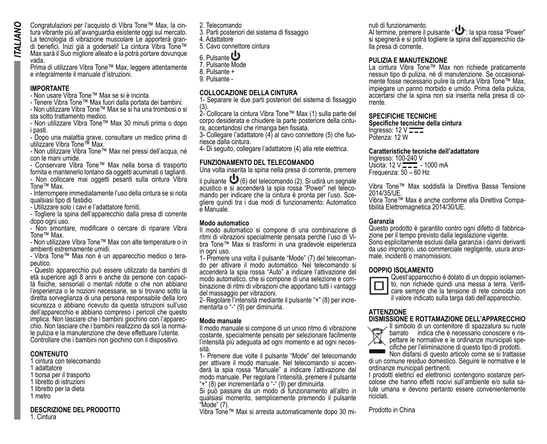Congratulazioni per l'acquisto di Vibra Tone™ Max, la cin-<br>tura vibrante più all'avanguardia esistente oggi sul mercato.<br>La tecnologia di vibrazione muscolare Le apporterà grandi benefici. Inizi già a goderseli! La cintura Vibra Tone™ Max sarà il Suo migliore alleato e la potrà portare dovunque vada.

Prima di utilizzare Vibra Tone™ Max, leggere attentamente e integralmente il manuale d'istruzioni.

### **IMPORTANTE**

- Non usare Vibra Tone™ Max se si è incinta.

- Tenere Vibra Tone™ Max fuori dalla portata dei bambini. - Non utilizzare Vibra Tone™ Max se si ha una trombosi o si

sta sotto trattamento medico. - Non utilizzare Vibra Tone™ Max 30 minuti prima o dopo

i pasti.

- Dopo una malattia grave, consultare un medico prima di utilizzare Vibra Tone™ Max.

- Non utilizzare Vibra Tone™ Max nei pressi dell'acqua, né con le mani umide.

- Conservare Vibra Tone™ Max nella borsa di trasporto fornita e mantenerlo lontano da oggetti acuminati o taglianti.

- Non collocare mai oggetti pesanti sulla cintura Vibra Tone™ Max.

- Interrompere immediatamente l'uso della cintura se si nota qualsiasi tipo di fastidio.

- Utilizzare solo i cavi e l'adattatore forniti.

- Togliere la spina dell'apparecchio dalla presa di corrente dopo ogni uso.

- Non smontare, modificare o cercare di riparare Vibra Tone™ Max.

- Non utilizzare Vibra Tone™ Max con alte temperature o in ambienti estremamente umidi.

- Vibra Tone™ Max non è un apparecchio medico o tera- peutico.

- Questo apparecchio può essere utilizzato da bambini di tà fisiche, sensoriali o mentali ridotte o che non abbiano l'esperienza o le nozioni necessarie, se si trovano sotto la diretta sorveglianza di una persona responsabile della loro sicurezza o abbiano ricevuto da questa istruzioni sull'uso dell'apparecchio e abbiano compreso i pericoli che questo implica. Non lasciare che i bambini giochino con l'apparec- chio. Non lasciare che i bambini realizzino da soli la norma- le pulizia e la manutenzione che deve effettuare l'utente. Controllare che i bambini non giochino con il dispositivo.

### **CONTENUTO**

1 cintura con telecomando

- 1 adattatore
- 1 borsa per il trasporto
- 1 libretto di istruzioni
- 1 libretto per la dieta
- 1 metro

# **DESCRIZIONE DEL PRODOTTO**

1. Cintura

2. Telecomando

3. Parti posteriori del sistema di fissaggio

4. Adattatore

5. Cavo connettore cintura<br>6. Pulsante

6. Pulsante 7. Pulsante Mode

8. Pulsante +

9. Pulsante -

## **COLLOCAZIONE DELLA CINTURA**

1- Separare le due parti posteriori del sistema di fissaggio

(3). 2- Collocare la cintura Vibra Tone™ Max (1) sulla parte del corpo desiderata e chiudere la parte posteriore della cintu- ra, accertandosi che rimanga ben fissata.

3- Collegare l'adattatore (4) al cavo connettore (5) che fuo- riesce dalla cintura.

4- Di seguito, collegare l'adattatore (4) alla rete elettrica.

### **FUNZIONAMENTO DEL TELECOMANDO**

Una volta inserita la spina nella presa di corrente, premere

il pulsante (6) del telecomando (2). Si udirà un segnale acustico e si accenderà la spia rossa "Power" nel telecomando per indicare che la cintura è pronta per l'uso. Sce- gliere quindi tra i due modi di funzionamento: Automatico e Manuale.

### **Modo automatico**

Il modo automatico si compone di una combinazione di bra Tone™ Max si trasformi in una gradevole esperienza in ogni uso.<br>1- Premere una volta il pulsante "Mode" (7) del telecoman-

do per attivare il modo automatico. Nel telecomando si accenderà la spia rossa "Auto" a indicare l'attivazione del binazione di ritmi di vibrazioni che apportano tutti i vantaggi del massaggio per vibrazioni.

2- Regolare l'intensità mediante il pulsante "+" (8) per incre- mentarla o "-" (9) per diminuirla.

### **Modo manuale**

Il modo manuale si compone di un unico ritmo di vibrazione costante, specialmente pensato per selezionare facilmente l'intensità più adeguata ad ogni momento e ad ogni neces- sità.

1- Premere due volte il pulsante "Mode" del telecomando derà la spia rossa "Manuale" a indicare l'attivazione del modo manuale. Per regolare l'intensità, premere il pulsante "+" (8) per incrementarla o "-" (9) per diminuirla.

Si può passare da un modo di funzionamento all'altro in qualsiasi momento, semplicemente premendo il pulsante "Mode" (7).

Vibra Tone™ Max si arresta automaticamente dopo 30 mi-

nuti di funzionamento. Al termine, premere il pulsante " U : la spia rossa "Power" si spegnerà e si potrà togliere la spina dell'apparecchio da- lla presa di corrente.

### **PULIZIA E MANUTENZIONE**

La cintura Vibra Tone™ Max non richiede praticamente mente fosse necessario pulire la cintura Vibra Tone™ Max. impiegare un panno morbido e umido. Prima della pulizia, accertarsi che la spina non sia inserita nella presa di co- rrente.

### **SPECIFICHE TECNICHE**

**Specifiche tecniche della cintura**  Ingresso:  $12 \vee$ Potenza: 12 W

### **Caratteristiche tecniche dell'adattatore**

Ingresso: 100-240 V Uscita:  $12 \text{ V}$   $\rightarrow$  1000 mA Frequenza: 50 – 60 Hz

Vibra Tone™ Max soddisfà la Direttiva Bassa Tensione 2014/35/UE.

Vibra Tone™ Max è anche conforme alla Direttiva Compa- tibilità Elettromagnetica 2014/30/UE.

Garanzia<br>Questo prodotto è garantito contro pani difetto di fabbricazione per il tempo previsto dalla legislazione vigente. Sono esplicitamente esclusi dalla garanzia i danni derivanti da uso improprio, uso commerciale negligente, usura anor- male, incidenti o manomissioni.



**DOPPIO ISOLAMENTO**<br>
Cuest'apparecchio è dotato di un doppio isolamento, non richiede quindi una messa a terra. Verifi-<br>care sempre che la tensione di rete coincida con il valore indicato sulla targa dati dell'apparecchio.

### **ATTENZIONE**

## **DISMISSIONE E ROTTAMAZIONE DELL'APPARECCHIO**



Il simbolo di un contenitore di spazzatura su ruote pettare le normative e le ordinanze municipali spe- cifiche per l'eliminazione di questo tipo di prodotti.

Non disfarsi di questo articolo come se si trattasse di un comune residuo domestico. Seguire le normative e le ordinanze municipali pertinenti.

colose che hanno effetti nocivi sull'ambiente e/o sulla sa- lute umana e devono pertanto essere convenientemente riciclati.

Prodotto in China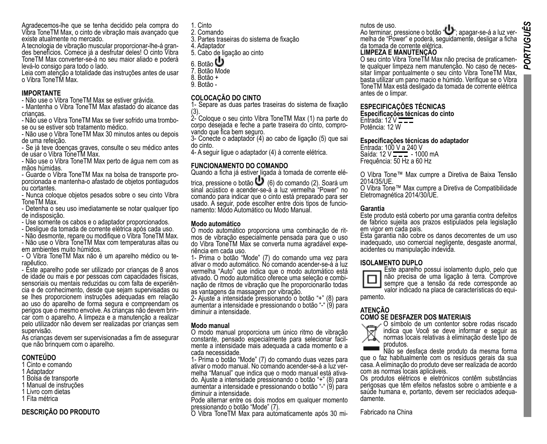Agradecemos-lhe que se tenha decidido pela compra do Vibra ToneTM Max, o cinto de vibração mais avançado que existe atualmente no mercado.<br>A tecnologia de vibração muscular proporcionar-lhe-á gran-

des benefícios. Comece já a desfrutar deles! O cinto Vibra ToneTM Max converter-se-á no seu maior aliado e poderá levá-lo consigo para todo o lado.

Leia com atenção a totalidade das instruções antes de usar o Vibra ToneTM Max.

### **IMPORTANTE**

- Não use o Vibra ToneTM Max se estiver grávida.

- Mantenha o Vibra ToneTM Max afastado do alcance das crianças.

- Não use o Vibra ToneTM Max se tiver sofrido uma trombo- se ou se estiver sob tratamento médico.

- Não use o Vibra ToneTM Max 30 minutos antes ou depois de uma refeição.

- Se já teve doenças graves, consulte o seu médico antes de usar o Vibra ToneTM Max.

- Não use o Vibra ToneTM Max perto de água nem com as mãos húmidas.<br>- Guarde o Vibra ToneTM Max na bolsa de transporte pro-

porcionada e mantenha-o afastado de objetos pontiagudos ou cortantes.

- Nunca coloque objetos pesados sobre o seu cinto Vibra ToneTM Max.

- Detenha o seu uso imediatamente se notar qualquer tipo de indisposição.

- Use somente os cabos e o adaptador proporcionados.

- Desligue da tomada de corrente elétrica após cada uso.

- Não desmonte, repare ou modifique o Vibra ToneTM Max.

- Não use o Vibra ToneTM Max com temperaturas altas ou em ambientes muito húmidos.

- O Vibra ToneTM Max não é um aparelho médico ou te- rapêutico.

- Este aparelho pode ser utilizado por crianças de 8 anos de idade ou mais e por pessoas com capacidades físicas, cia e de conhecimento, desde que sejam supervisadas ou se lhes proporcionem instruções adequadas em relação ao uso do aparelho de forma segura e compreendam os car com o aparelho. A limpeza e a manutenção a realizar pelo utilizador não devem ser realizadas por crianças sem supervisão.

As crianças devem ser supervisionadas a fim de assegurar que não brinquem com o aparelho.

### **CONTEÚDO**

- 1 Cinto e comando
- 1 Adaptador
- 1 Bolsa de transporte
- 1 Manual de instruções
- 1 Livro com dietas
- 1 Fita métrica

### **DESCRIÇÃO DO PRODUTO**

1. Cinto

- 2. Comando
- 3. Partes traseiras do sistema de fixação
- 4. Adaptador
- 5. Cabo de ligação ao cinto
- 6. Botão 7. Botão Mode
- 
- 8. Botão +
- 9. Botão -

# **COLOCAÇÃO DO CINTO**

1- Separe as duas partes traseiras do sistema de fixação

(3). 2- Coloque o seu cinto Vibra ToneTM Max (1) na parte do corpo desejada e feche a parte traseira do cinto, compro- vando que fica bem seguro.

3- Conecte o adaptador (4) ao cabo de ligação (5) que sai do cinto.

4- A seguir ligue o adaptador (4) à corrente elétrica.

### **FUNCIONAMENTO DO COMANDO**

Quando a ficha já estiver ligada à tomada de corrente elé-

trica, pressione o botão (6) do comando (2). Soará um sinal acústico e acender-se-à a luz vermelha "Power" no comando para indicar que o cinto está preparado para ser usado. A seguir, pode escolher entre dois tipos de funcio- namento: Modo Automático ou Modo Manual.

**Modo automático** mos de vibração especialmente pensada para que o uso do Vibra ToneTM Max se converta numa agradável expe- riência em cada uso.

1- Prima o botão "Mode" (7) do comando uma vez para ativar o modo automático. No comando acender-se-á a luz vermelha "Auto" que indica que o modo automático está nação de ritmos de vibração que lhe proporcionarão todas as vantagens da massagem por vibração.

2- Ajuste a intensidade pressionando o botão "+" (8) para aumentar a intensidade e pressionando o botão "-" (9) para diminuir a intensidade.

### **Modo manual**

O modo manual proporciona um único ritmo de vibração mente a intensidade mais adequada a cada momento e a cada necessidade.

1- Prima o botão "Mode" (7) do comando duas vezes para ativar o modo manual. No comando acender-se-á a luz ver-<br>melha "Manual" que indica que o modo manual está ativa-<br>do. Ajuste a intensidade pressionando o botão "-+" (8) para<br>aumentar a intensidade e pressionando o botão "diminuir a intensidade.

Pode alternar entre os dois modos em qualquer momento pressionando o botão "Mode" (7).

O Vibra ToneTM Max para automaticamente após 30 mi-

nutos de uso.<br>Ao terminar, pressione o botão "Unitabadar-se-á a luz vermelha de "Power" e poderá, seguidamente, desligar a ficha da tomada de corrente elétrica.

**LIMPEZA E MANUTENÇÃO** te qualquer limpeza nem manutenção. No caso de neces-<br>sitar limpar pontualmente o seu cinto Vibra ToneTM Max, basta utilizar um pano macio e húmido. Verifique se o Vibra ToneTM Max está desligado da tomada de corrente elétrica antes de o limpar.

### **ESPECIFICAÇÕES TÉCNICAS**

**Especificações técnicas do cinto** Entrada:  $12V$ Potência: 12 W

### **Especificações técnicas do adaptador**

Entrada: 100 V a 240 V<br>Saída: 12 V <del>- - -</del> - 1000 mA Frequência: 50 Hz a 60 Hz

O Vibra Tone™ Max cumpre a Diretiva de Baixa Tensão 2014/35/UE.

O Vibra Tone™ Max cumpre a Diretiva de Compatibilidade Eletromagnética 2014/30/UE.

### **Garantia**

Este produto está coberto por uma garantia contra defeitos de fabrico sujeita aos prazos estipulados pela legislação em vigor em cada país.

Esta garantia não cobre os danos decorrentes de um uso inadequado, uso comercial negligente, desgaste anormal, acidentes ou manipulação indevida.

### **ISOLAMENTO DUPLO**



Este aparelho possui isolamento duplo, pelo que não precisa de uma ligação à terra. Comprove sempre que a tensão da rede corresponde ao

valor indicado na placa de características do equi- pamento.

### **ATENÇÃO COMO SE DESFAZER DOS MATERIAIS**



O símbolo de um contentor sobre rodas riscado indica que Você se deve informar e seguir as normas locais relativas à eliminação deste tipo de produtos.<br>Não se desfaca deste produto da mesma forma

que o faz habitualmente com os resíduos gerais da sua casa. A eliminação do produto deve ser realizada de acordo com as normas locais aplicáveis.

Os produtos elétricos e eletrónicos contêm substâncias perigosas que têm efeitos nefastos sobre o ambiente e a saúde humana e, portanto, devem ser reciclados adequa- damente.

Fabricado na China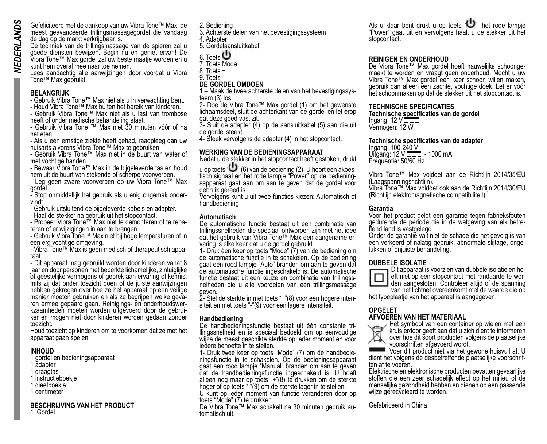Gefeliciteerd met de aankoop van uw Vibra Tone™ Max, de meest geavanceerde trillingsmassagegordel die vandaag de dag op de markt verkrijgbaar is. De techniek van de trillingsmassage van de spieren zal u

goede diensten bewijzen. Begin nu en geniet ervan! De Vibra Tone™ Max gordel zal uw beste maatje worden en u kunt hem overal mee naar toe nemen.

Lees aandachtig alle aanwijzingen door voordat u Vibra Tone™ Max gebruikt.

### **BELANGRIJK**

- Gebruik Vibra Tone™ Max niet als u in verwachting bent.

- Houd Vibra Tone™ Max buiten het bereik van kinderen. - Gebruik Vibra Tone™ Max niet als u last van trombose heeft of onder medische behandeling staat.

- Gebruik Vibra Tone ™ Max niet 30 minuten vóór of na het eten.

- Als u een ernstige ziekte heeft gehad, raadpleeg dan uw huisarts alvorens Vibra Tone™ Max te gebruiken.

- Gebruik Vibra Tone™ Max niet in de buurt van water of met vochtige handen.

- Bewaar Vibra Tone™ Max in de bijgeleverde tas en houd hem uit de buurt van stekende of scherpe voorwerpen.

- Leg geen zware voorwerpen op uw Vibra Tone™ Max gordel.

- Stop onmiddellijk het gebruik als u enig ongemak onder- vindt.

- Gebruik uitsluitend de bijgeleverde kabels en adapter.

- Haal de stekker na gebruik uit het stopcontact.

- Probeer Vibra Tone™ Max niet te demonteren of te repa- reren of er wijzigingen in aan te brengen.

- Gebruik Vibra Tone™ Max niet bij hoge temperaturen of in een erg vochtige omgeving.

- Vibra Tone™ Max is geen medisch of therapeutisch appa-

- Dit apparaat mag gebruikt worden door kinderen vanaf 8 jaar en door personen met beperkte lichamelijke, zintuiglijke of geestelijke vermogens of gebrek aan ervaring of kennis, mits zij dat onder toezicht doen of de juiste aanwijzingen hebben gekregen over hoe ze het apparaat op een veilige manier moeten gepaard gaan. Reinigings- en onderhoudswer-<br>kzaamheden moeten worden uitgevoerd door de gebrui-<br>ker en mogen niet door kinderen worden gedaan zonder toezicht.

Houd toezicht op kinderen om te voorkomen dat ze met het apparaat gaan spelen.

### **INHOUD**

1 gordel en bedieningsapparaat

- **A**dapter
- 1 draagtas
- instructieboekje
- dieetboekje
- 1 centimeter

### **BESCHRIJVING VAN HET PRODUCT**

1. Gordel

2. Bediening

3. Achterste delen van het bevestigingssysteem

4. Adapter

5. Gordelaansluitkabel

Toets **U** 

7. Toets Mode

8. Toets +

9. Toets -

# **DE GORDEL OMDOEN**

1 – Maak de twee achterste delen van het bevestigingssys- teem (3) los.

2- Doe de Vibra Tone™ Max gordel (1) om het gewenste lichaamsdeel, sluit de achterkant van de gordel en let erop dat deze goed vast zit.

3- Sluit de adapter (4) op de aansluitkabel (5) aan die uit de gordel steekt.

4- Steek vervolgens de adapter (4) in het stopcontact.

### **WERKING VAN DE BEDIENINGSAPPARAAT**

Nadat u de stekker in het stopcontact heeft gestoken, drukt u op toets  $\bigcup_{k=1}^{\infty}$  (6) van de bediening (2). U hoort een akoes-

tisch signaal en het rode lampje "Power" op de bediening-<br>sapparaat gaat aan om aan te geven dat de gordel voor gebruik gereed is.

Vervolgens kunt u uit twee functies kiezen: Automatisch of handbediening

### **Automatisch**

De automatische functie bestaat uit een combinatie van trillingssnelheden die speciaal ontworpen zijn met het idee dat het gebruik van Vibra Tone™ Max een aangename er- varing is elke keer dat u de gordel gebruikt.

1- Druk één keer op toets "Mode" (7) van de bediening om de automatische functie in te schakelen. Op de bediening gaat een rood lampje "Auto" branden om aan te geven dat de automatische functie ingeschakeld is. De automatische nelheden die u alle voordelen van een trillingsmassage

geven.<br>2- Stel de sterkte in met toets "+"(8) voor een hogere intensiteit en met toets "-"(9) voor een lagere intensiteit.

Handbediening<br>De handbedieningsfunctie bestaat uit één constante trillingssnelheid en is speciaal bedoeld om op eenvoudige wijze de meest geschikte sterkte op ieder moment en voor iedere behoefte in te stellen.<br>1- Druk twee keer op toets "Mode" (7) om de handbedie-

ningsfunctie in te schakelen. Op de bedieningsapparaat gaat een rood lampje "Manual" branden om aan te geven dat de handbedieningsfunctie ingeschakeld is. U hoeft alleen nog maar op toets "+"(8) te drukken om de sterkte hoger of op toets "-"(9) om de sterkte lager in te stellen.

U kunt op ieder moment van functie veranderen door op toets "Mode" (7) te drukken.

De Vibra Tone™ Max schakelt na 30 minuten gebruik au- tomatisch uit.

Als u klaar bent drukt u op toets "U", het rode lampje "Power" gaat uit en vervolgens haalt u de stekker uit het stopcontact.

**REINIGEN EN ONDERHOUD**<br>De Vibra Tone™ Max gordel hoeft nauwelijks schoongemaakt te worden en vraagt geen onderhoud. Mocht u uw Vibra Tone™ Max gordel een keer schoon willen maken, gebruik dan alleen een zachte, vochtige doek. Let er vóór het schoonmaken op dat de stekker uit het stopcontact is.

### **TECHNISCHE SPECIFICATIES**

**Technische specificaties van de gordel** Ingang:  $12$  V Vermogen: 12 W

### **Technische specificaties van de adapter**

Ingang: 100-240 V<br>Uitgang: 12 V <del>- 2 -</del> - 1000 mA Frequentie: 50/60 Hz

Vibra Tone™ Max voldoet aan de Richtlijn 2014/35/EU (Laagspanningsrichtlijn).

Vibra Tone™ Max voldoet ook aan de Richtlijn 2014/30/EU (Richtlijn elektromagnetische compatibiliteit).

### **Garantia**

Voor het product geldt een garantie tegen fabrieksfouten gedurende de periode die in de wetgeving van elk betre- ffend land is vastgelegd.

Onder de garantie valt niet de schade die het gevolg is van een verkeerd of nalatig gebruik, abnormale slijtage, onge- lukken of onjuiste behandeling.



**DUBBELE ISOLATIE**<br>
Dit apparaat is voorzien van dubbele isolatie en hoeft niet op een stopcontact met randaarde te wor-<br>den aangesloten. Controleer altijd of de spanning

van het lichtnet overeenkomt met de waarde die op

het typeplaatje van het apparaat is aangegeven.

### **OPGELET AFVOEREN VAN HET MATERIAAL**



Het symbool van een container op wielen met een kruis erdoor geeft aan dat u zich dient te informeren over hoe dit soort producten volgens de plaatselijke voorschriften afgevoerd wordt.

Voer dit product niet via het gewone huisvuil af. U dient het volgens de desbetreffende plaatselijke voorschrif- ten af te voeren.

Elektrische en elektronische producten bevatten gevaarlijke stoffen die een zeer schadelijk effect op het milieu of de menselijke gezondheid hebben en dienen op een passende wijze gerecycleerd te worden.

Gefabriceerd in China